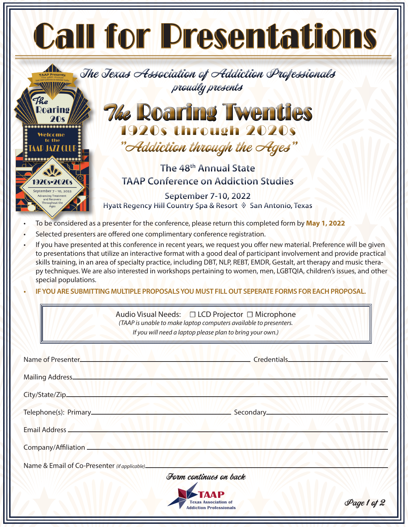| <b>Call for Presentations</b>                                                                                                                                                                                                                                                                                                                                                                                                                                                                   |
|-------------------------------------------------------------------------------------------------------------------------------------------------------------------------------------------------------------------------------------------------------------------------------------------------------------------------------------------------------------------------------------------------------------------------------------------------------------------------------------------------|
| The Texas Association of Addiction Professionals<br><b>TAAP Presente</b><br>proudly presents<br>The                                                                                                                                                                                                                                                                                                                                                                                             |
| <b><i>The Roaring Twenties</i></b>                                                                                                                                                                                                                                                                                                                                                                                                                                                              |
| 1920s through 2020s                                                                                                                                                                                                                                                                                                                                                                                                                                                                             |
| "Addiction through the Ages"                                                                                                                                                                                                                                                                                                                                                                                                                                                                    |
| The 48 <sup>th</sup> Annual State<br><b>TAAP Conference on Addiction Studies</b>                                                                                                                                                                                                                                                                                                                                                                                                                |
| eptember 7 - 10. 202<br>September 7-10, 2022                                                                                                                                                                                                                                                                                                                                                                                                                                                    |
| Hyatt Regency Hill Country Spa & Resort $\Diamond$ San Antonio, Texas                                                                                                                                                                                                                                                                                                                                                                                                                           |
| To be considered as a presenter for the conference, please return this completed form by May 1, 2022<br>Selected presenters are offered one complimentary conference registration.                                                                                                                                                                                                                                                                                                              |
| to presentations that utilize an interactive format with a good deal of participant involvement and provide practical<br>skills training, in an area of specialty practice, including DBT, NLP, REBT, EMDR, Gestalt, art therapy and music thera-<br>py techniques. We are also interested in workshops pertaining to women, men, LGBTQIA, children's issues, and other<br>special populations.<br>IF YOU ARE SUBMITTING MULTIPLE PROPOSALS YOU MUST FILL OUT SEPERATE FORMS FOR EACH PROPOSAL. |
| Audio Visual Needs: □ LCD Projector □ Microphone<br>(TAAP is unable to make laptop computers available to presenters.<br>If you will need a laptop please plan to bring your own.)                                                                                                                                                                                                                                                                                                              |
|                                                                                                                                                                                                                                                                                                                                                                                                                                                                                                 |
| Name of Presenter_<br>Credentials_                                                                                                                                                                                                                                                                                                                                                                                                                                                              |
| Mailing Address                                                                                                                                                                                                                                                                                                                                                                                                                                                                                 |
|                                                                                                                                                                                                                                                                                                                                                                                                                                                                                                 |
|                                                                                                                                                                                                                                                                                                                                                                                                                                                                                                 |
| Email Address                                                                                                                                                                                                                                                                                                                                                                                                                                                                                   |
| Company/Affiliation                                                                                                                                                                                                                                                                                                                                                                                                                                                                             |
| Name & Email of Co-Presenter (if applicable)_____                                                                                                                                                                                                                                                                                                                                                                                                                                               |
| Form continues on back                                                                                                                                                                                                                                                                                                                                                                                                                                                                          |
| Page 1 of 2<br><b>Texas Association of</b><br><b>Addiction Professionals</b>                                                                                                                                                                                                                                                                                                                                                                                                                    |